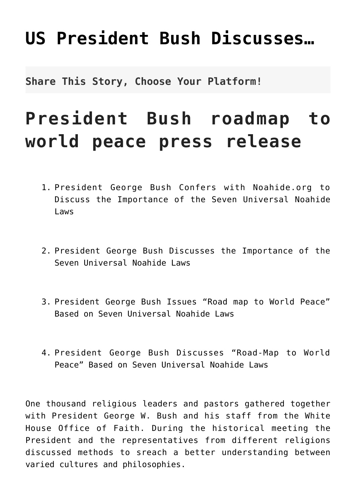## **[US President Bush Discusses…](http://noahide.org/us-president-george-w-bush-discusses/)**

**Share This Story, Choose Your Platform!**

## **President Bush roadmap to world peace press release**

- 1. President George Bush Confers with Noahide.org to Discuss the Importance of the Seven Universal Noahide Laws
- 2. President George Bush Discusses the Importance of the Seven Universal Noahide Laws
- 3. President George Bush Issues "Road map to World Peace" Based on Seven Universal Noahide Laws
- 4. President George Bush Discusses "Road-Map to World Peace" Based on Seven Universal Noahide Laws

One thousand religious leaders and pastors gathered together with President George W. Bush and his staff from the White House Office of Faith. During the historical meeting the President and the representatives from different religions discussed methods to sreach a better understanding between varied cultures and philosophies.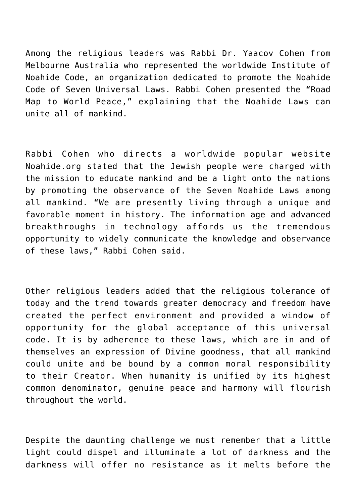Among the religious leaders was Rabbi Dr. Yaacov Cohen from Melbourne Australia who represented the worldwide Institute of Noahide Code, an organization dedicated to promote the Noahide Code of Seven Universal Laws. Rabbi Cohen presented the "Road Map to World Peace," explaining that the Noahide Laws can unite all of mankind.

Rabbi Cohen who directs a worldwide popular website Noahide.org stated that the Jewish people were charged with the mission to educate mankind and be a light onto the nations by promoting the observance of the Seven Noahide Laws among all mankind. "We are presently living through a unique and favorable moment in history. The information age and advanced breakthroughs in technology affords us the tremendous opportunity to widely communicate the knowledge and observance of these laws," Rabbi Cohen said.

Other religious leaders added that the religious tolerance of today and the trend towards greater democracy and freedom have created the perfect environment and provided a window of opportunity for the global acceptance of this universal code. It is by adherence to these laws, which are in and of themselves an expression of Divine goodness, that all mankind could unite and be bound by a common moral responsibility to their Creator. When humanity is unified by its highest common denominator, genuine peace and harmony will flourish throughout the world.

Despite the daunting challenge we must remember that a little light could dispel and illuminate a lot of darkness and the darkness will offer no resistance as it melts before the